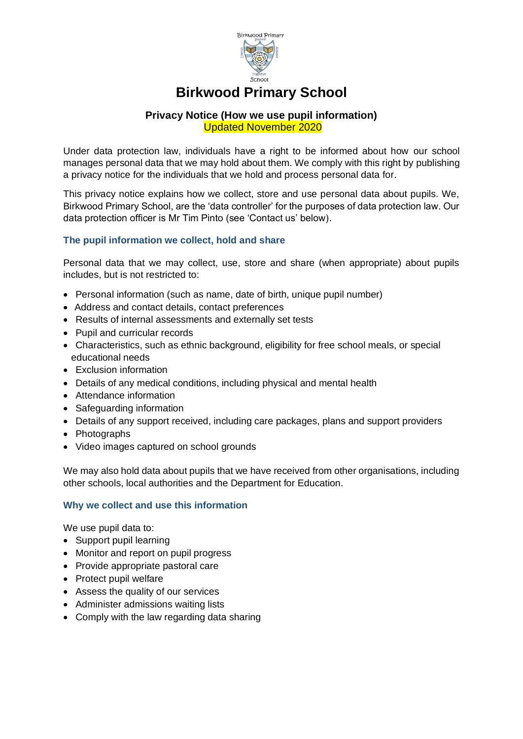

# **Birkwood Primary School**

#### **Privacy Notice (How we use pupil information)** Updated November 2020

Under data protection law, individuals have a right to be informed about how our school manages personal data that we may hold about them. We comply with this right by publishing a privacy notice for the individuals that we hold and process personal data for.

This privacy notice explains how we collect, store and use personal data about pupils. We, Birkwood Primary School, are the 'data controller' for the purposes of data protection law. Our data protection officer is Mr Tim Pinto (see 'Contact us' below).

## **The pupil information we collect, hold and share**

Personal data that we may collect, use, store and share (when appropriate) about pupils includes, but is not restricted to:

- Personal information (such as name, date of birth, unique pupil number)
- Address and contact details, contact preferences
- Results of internal assessments and externally set tests
- Pupil and curricular records
- Characteristics, such as ethnic background, eligibility for free school meals, or special educational needs
- Exclusion information
- Details of any medical conditions, including physical and mental health
- Attendance information
- Safeguarding information
- Details of any support received, including care packages, plans and support providers
- Photographs
- Video images captured on school grounds

We may also hold data about pupils that we have received from other organisations, including other schools, local authorities and the Department for Education.

#### **Why we collect and use this information**

We use pupil data to:

- Support pupil learning
- Monitor and report on pupil progress
- Provide appropriate pastoral care
- Protect pupil welfare
- Assess the quality of our services
- Administer admissions waiting lists
- Comply with the law regarding data sharing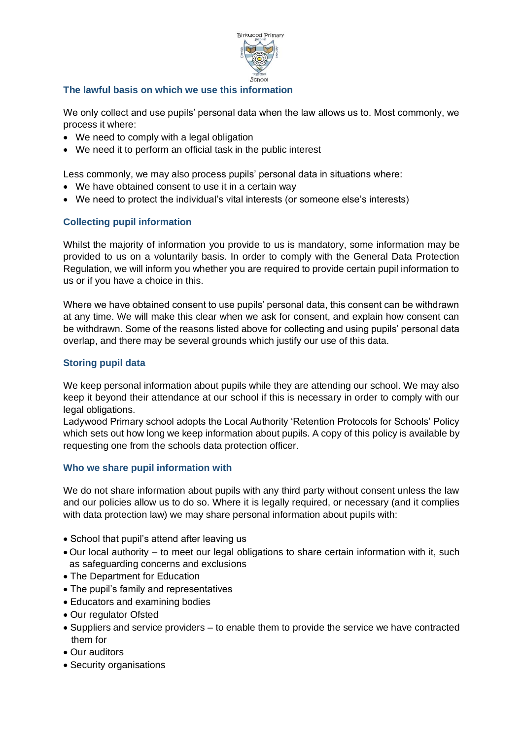

## **The lawful basis on which we use this information**

We only collect and use pupils' personal data when the law allows us to. Most commonly, we process it where:

- We need to comply with a legal obligation
- We need it to perform an official task in the public interest

Less commonly, we may also process pupils' personal data in situations where:

- We have obtained consent to use it in a certain way
- We need to protect the individual's vital interests (or someone else's interests)

## **Collecting pupil information**

Whilst the majority of information you provide to us is mandatory, some information may be provided to us on a voluntarily basis. In order to comply with the General Data Protection Regulation, we will inform you whether you are required to provide certain pupil information to us or if you have a choice in this.

Where we have obtained consent to use pupils' personal data, this consent can be withdrawn at any time. We will make this clear when we ask for consent, and explain how consent can be withdrawn. Some of the reasons listed above for collecting and using pupils' personal data overlap, and there may be several grounds which justify our use of this data.

## **Storing pupil data**

We keep personal information about pupils while they are attending our school. We may also keep it beyond their attendance at our school if this is necessary in order to comply with our legal obligations.

Ladywood Primary school adopts the Local Authority 'Retention Protocols for Schools' Policy which sets out how long we keep information about pupils. A copy of this policy is available by requesting one from the schools data protection officer.

#### **Who we share pupil information with**

We do not share information about pupils with any third party without consent unless the law and our policies allow us to do so. Where it is legally required, or necessary (and it complies with data protection law) we may share personal information about pupils with:

- School that pupil's attend after leaving us
- Our local authority to meet our legal obligations to share certain information with it, such as safeguarding concerns and exclusions
- The Department for Education
- The pupil's family and representatives
- Educators and examining bodies
- Our regulator Ofsted
- Suppliers and service providers to enable them to provide the service we have contracted them for
- Our auditors
- Security organisations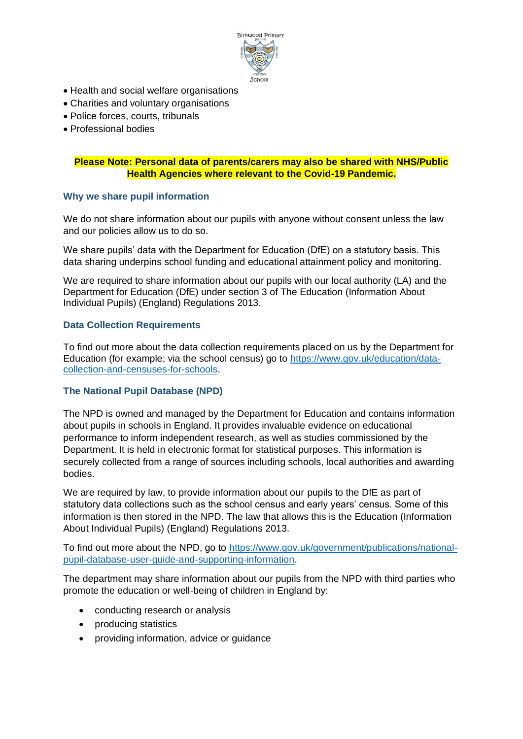

- Health and social welfare organisations
- Charities and voluntary organisations
- Police forces, courts, tribunals
- Professional bodies

# **Please Note: Personal data of parents/carers may also be shared with NHS/Public Health Agencies where relevant to the Covid-19 Pandemic.**

## **Why we share pupil information**

We do not share information about our pupils with anyone without consent unless the law and our policies allow us to do so.

We share pupils' data with the Department for Education (DfE) on a statutory basis. This data sharing underpins school funding and educational attainment policy and monitoring.

We are required to share information about our pupils with our local authority (LA) and the Department for Education (DfE) under section 3 of The Education (Information About Individual Pupils) (England) Regulations 2013.

## **Data Collection Requirements**

To find out more about the data collection requirements placed on us by the Department for Education (for example; via the school census) go to [https://www.gov.uk/education/data](https://www.gov.uk/education/data-collection-and-censuses-for-schools)[collection-and-censuses-for-schools.](https://www.gov.uk/education/data-collection-and-censuses-for-schools)

# **The National Pupil Database (NPD)**

The NPD is owned and managed by the Department for Education and contains information about pupils in schools in England. It provides invaluable evidence on educational performance to inform independent research, as well as studies commissioned by the Department. It is held in electronic format for statistical purposes. This information is securely collected from a range of sources including schools, local authorities and awarding bodies.

We are required by law, to provide information about our pupils to the DfE as part of statutory data collections such as the school census and early years' census. Some of this information is then stored in the NPD. The law that allows this is the Education (Information About Individual Pupils) (England) Regulations 2013.

To find out more about the NPD, go to [https://www.gov.uk/government/publications/national](https://www.gov.uk/government/publications/national-pupil-database-user-guide-and-supporting-information)[pupil-database-user-guide-and-supporting-information.](https://www.gov.uk/government/publications/national-pupil-database-user-guide-and-supporting-information)

The department may share information about our pupils from the NPD with third parties who promote the education or well-being of children in England by:

- conducting research or analysis
- producing statistics
- providing information, advice or guidance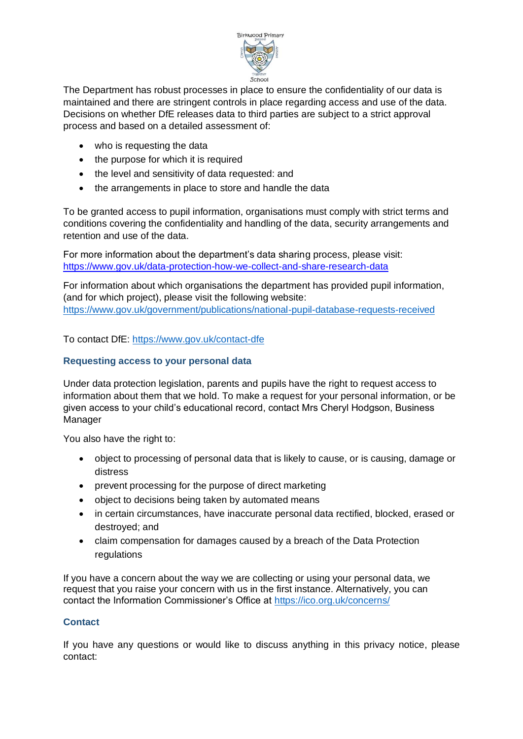

The Department has robust processes in place to ensure the confidentiality of our data is maintained and there are stringent controls in place regarding access and use of the data. Decisions on whether DfE releases data to third parties are subject to a strict approval process and based on a detailed assessment of:

- who is requesting the data
- the purpose for which it is required
- the level and sensitivity of data requested: and
- the arrangements in place to store and handle the data

To be granted access to pupil information, organisations must comply with strict terms and conditions covering the confidentiality and handling of the data, security arrangements and retention and use of the data.

For more information about the department's data sharing process, please visit: <https://www.gov.uk/data-protection-how-we-collect-and-share-research-data>

For information about which organisations the department has provided pupil information, (and for which project), please visit the following website: <https://www.gov.uk/government/publications/national-pupil-database-requests-received>

To contact DfE:<https://www.gov.uk/contact-dfe>

# **Requesting access to your personal data**

Under data protection legislation, parents and pupils have the right to request access to information about them that we hold. To make a request for your personal information, or be given access to your child's educational record, contact Mrs Cheryl Hodgson, Business Manager

You also have the right to:

- object to processing of personal data that is likely to cause, or is causing, damage or distress
- prevent processing for the purpose of direct marketing
- object to decisions being taken by automated means
- in certain circumstances, have inaccurate personal data rectified, blocked, erased or destroyed; and
- claim compensation for damages caused by a breach of the Data Protection regulations

If you have a concern about the way we are collecting or using your personal data, we request that you raise your concern with us in the first instance. Alternatively, you can contact the Information Commissioner's Office at<https://ico.org.uk/concerns/>

# **Contact**

If you have any questions or would like to discuss anything in this privacy notice, please contact: